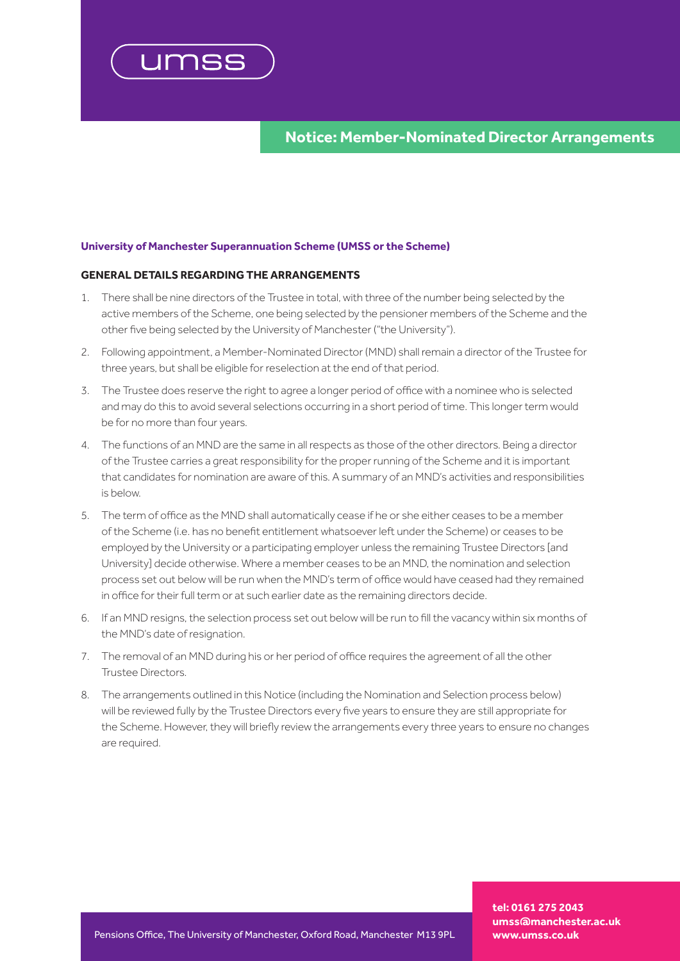

**Notice: Member-Nominated Director Arrangements**

## **University of Manchester Superannuation Scheme (UMSS or the Scheme)**

## **GENERAL DETAILS REGARDING THE ARRANGEMENTS**

- 1. There shall be nine directors of the Trustee in total, with three of the number being selected by the active members of the Scheme, one being selected by the pensioner members of the Scheme and the other five being selected by the University of Manchester ("the University").
- 2. Following appointment, a Member-Nominated Director (MND) shall remain a director of the Trustee for three years, but shall be eligible for reselection at the end of that period.
- 3. The Trustee does reserve the right to agree a longer period of office with a nominee who is selected and may do this to avoid several selections occurring in a short period of time. This longer term would be for no more than four years.
- 4. The functions of an MND are the same in all respects as those of the other directors. Being a director of the Trustee carries a great responsibility for the proper running of the Scheme and it is important that candidates for nomination are aware of this. A summary of an MND's activities and responsibilities is below.
- 5. The term of office as the MND shall automatically cease if he or she either ceases to be a member of the Scheme (i.e. has no benefit entitlement whatsoever left under the Scheme) or ceases to be employed by the University or a participating employer unless the remaining Trustee Directors [and University] decide otherwise. Where a member ceases to be an MND, the nomination and selection process set out below will be run when the MND's term of office would have ceased had they remained in office for their full term or at such earlier date as the remaining directors decide.
- 6. If an MND resigns, the selection process set out below will be run to fill the vacancy within six months of the MND's date of resignation.
- 7. The removal of an MND during his or her period of office requires the agreement of all the other Trustee Directors.
- 8. The arrangements outlined in this Notice (including the Nomination and Selection process below) will be reviewed fully by the Trustee Directors every five years to ensure they are still appropriate for the Scheme. However, they will briefly review the arrangements every three years to ensure no changes are required.

**tel: 0161 275 2043 umss@manchester.ac.uk**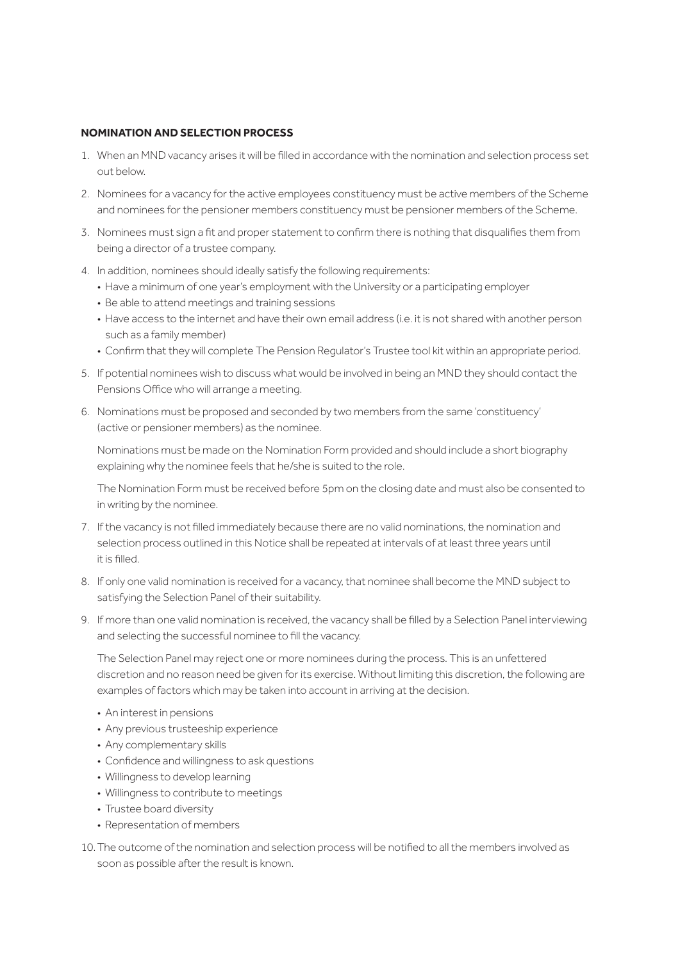# **NOMINATION AND SELECTION PROCESS**

- 1. When an MND vacancy arises it will be filled in accordance with the nomination and selection process set out below.
- 2. Nominees for a vacancy for the active employees constituency must be active members of the Scheme and nominees for the pensioner members constituency must be pensioner members of the Scheme.
- 3. Nominees must sign a fit and proper statement to confirm there is nothing that disqualifies them from being a director of a trustee company.
- 4. In addition, nominees should ideally satisfy the following requirements:
	- Have a minimum of one year's employment with the University or a participating employer
	- Be able to attend meetings and training sessions
	- Have access to the internet and have their own email address (i.e. it is not shared with another person such as a family member)
	- Confirm that they will complete The Pension Regulator's Trustee tool kit within an appropriate period.
- 5. If potential nominees wish to discuss what would be involved in being an MND they should contact the Pensions Office who will arrange a meeting.
- 6. Nominations must be proposed and seconded by two members from the same 'constituency' (active or pensioner members) as the nominee.

Nominations must be made on the Nomination Form provided and should include a short biography explaining why the nominee feels that he/she is suited to the role.

The Nomination Form must be received before 5pm on the closing date and must also be consented to in writing by the nominee.

- 7. If the vacancy is not filled immediately because there are no valid nominations, the nomination and selection process outlined in this Notice shall be repeated at intervals of at least three years until it is filled.
- 8. If only one valid nomination is received for a vacancy, that nominee shall become the MND subject to satisfying the Selection Panel of their suitability.
- 9. If more than one valid nomination is received, the vacancy shall be filled by a Selection Panel interviewing and selecting the successful nominee to fill the vacancy.

The Selection Panel may reject one or more nominees during the process. This is an unfettered discretion and no reason need be given for its exercise. Without limiting this discretion, the following are examples of factors which may be taken into account in arriving at the decision.

- An interest in pensions
- Any previous trusteeship experience
- Any complementary skills
- Confidence and willingness to ask questions
- Willingness to develop learning
- Willingness to contribute to meetings
- Trustee board diversity
- Representation of members
- 10.The outcome of the nomination and selection process will be notified to all the members involved as soon as possible after the result is known.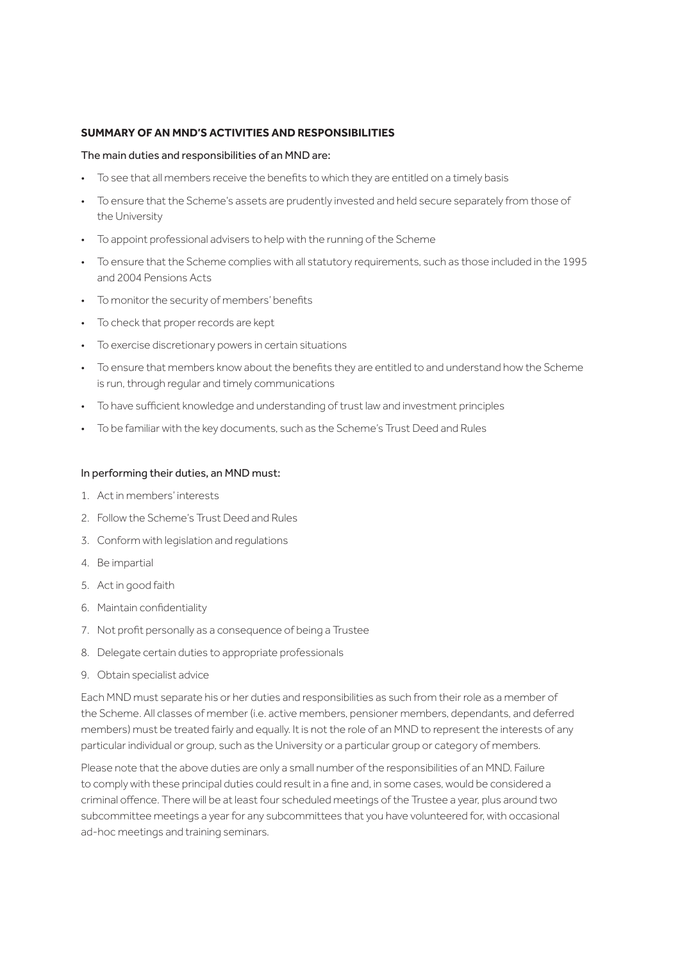# **SUMMARY OF AN MND'S ACTIVITIES AND RESPONSIBILITIES**

### The main duties and responsibilities of an MND are:

- To see that all members receive the benefits to which they are entitled on a timely basis
- To ensure that the Scheme's assets are prudently invested and held secure separately from those of the University
- To appoint professional advisers to help with the running of the Scheme
- To ensure that the Scheme complies with all statutory requirements, such as those included in the 1995 and 2004 Pensions Acts
- To monitor the security of members' benefits
- To check that proper records are kept
- To exercise discretionary powers in certain situations
- To ensure that members know about the benefits they are entitled to and understand how the Scheme is run, through regular and timely communications
- To have sufficient knowledge and understanding of trust law and investment principles
- To be familiar with the key documents, such as the Scheme's Trust Deed and Rules

### In performing their duties, an MND must:

- 1. Act in members' interests
- 2. Follow the Scheme's Trust Deed and Rules
- 3. Conform with legislation and regulations
- 4. Be impartial
- 5. Act in good faith
- 6. Maintain confidentiality
- 7. Not profit personally as a consequence of being a Trustee
- 8. Delegate certain duties to appropriate professionals
- 9. Obtain specialist advice

Each MND must separate his or her duties and responsibilities as such from their role as a member of the Scheme. All classes of member (i.e. active members, pensioner members, dependants, and deferred members) must be treated fairly and equally. It is not the role of an MND to represent the interests of any particular individual or group, such as the University or a particular group or category of members.

Please note that the above duties are only a small number of the responsibilities of an MND. Failure to comply with these principal duties could result in a fine and, in some cases, would be considered a criminal offence. There will be at least four scheduled meetings of the Trustee a year, plus around two subcommittee meetings a year for any subcommittees that you have volunteered for, with occasional ad-hoc meetings and training seminars.